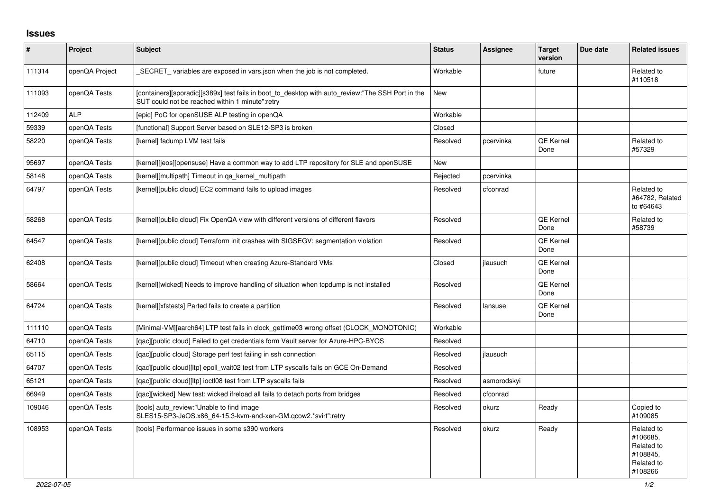## **Issues**

| $\vert$ # | Project        | <b>Subject</b>                                                                                                                                       | <b>Status</b> | <b>Assignee</b> | <b>Target</b><br>version | Due date | <b>Related issues</b>                                                     |
|-----------|----------------|------------------------------------------------------------------------------------------------------------------------------------------------------|---------------|-----------------|--------------------------|----------|---------------------------------------------------------------------------|
| 111314    | openQA Project | SECRET variables are exposed in vars json when the job is not completed.                                                                             | Workable      |                 | future                   |          | Related to<br>#110518                                                     |
| 111093    | openQA Tests   | [containers][sporadic][s389x] test fails in boot_to_desktop with auto_review:"The SSH Port in the<br>SUT could not be reached within 1 minute":retry | <b>New</b>    |                 |                          |          |                                                                           |
| 112409    | <b>ALP</b>     | [epic] PoC for openSUSE ALP testing in openQA                                                                                                        | Workable      |                 |                          |          |                                                                           |
| 59339     | openQA Tests   | [functional] Support Server based on SLE12-SP3 is broken                                                                                             | Closed        |                 |                          |          |                                                                           |
| 58220     | openQA Tests   | [kernel] fadump LVM test fails                                                                                                                       | Resolved      | pcervinka       | QE Kernel<br>Done        |          | Related to<br>#57329                                                      |
| 95697     | openQA Tests   | [kernel][jeos][opensuse] Have a common way to add LTP repository for SLE and openSUSE                                                                | <b>New</b>    |                 |                          |          |                                                                           |
| 58148     | openQA Tests   | [kernel][multipath] Timeout in ga kernel multipath                                                                                                   | Rejected      | pcervinka       |                          |          |                                                                           |
| 64797     | openQA Tests   | [kernel][public cloud] EC2 command fails to upload images                                                                                            | Resolved      | cfconrad        |                          |          | Related to<br>#64782, Related<br>to #64643                                |
| 58268     | openQA Tests   | [kernel][public cloud] Fix OpenQA view with different versions of different flavors                                                                  | Resolved      |                 | QE Kernel<br>Done        |          | Related to<br>#58739                                                      |
| 64547     | openQA Tests   | [kernel][public cloud] Terraform init crashes with SIGSEGV: segmentation violation                                                                   | Resolved      |                 | QE Kernel<br>Done        |          |                                                                           |
| 62408     | openQA Tests   | [kernel][public cloud] Timeout when creating Azure-Standard VMs                                                                                      | Closed        | jlausuch        | QE Kernel<br>Done        |          |                                                                           |
| 58664     | openQA Tests   | [kernel][wicked] Needs to improve handling of situation when tcpdump is not installed                                                                | Resolved      |                 | QE Kernel<br>Done        |          |                                                                           |
| 64724     | openQA Tests   | [kernel][xfstests] Parted fails to create a partition                                                                                                | Resolved      | lansuse         | QE Kernel<br>Done        |          |                                                                           |
| 111110    | openQA Tests   | [Minimal-VM][aarch64] LTP test fails in clock gettime03 wrong offset (CLOCK MONOTONIC)                                                               | Workable      |                 |                          |          |                                                                           |
| 64710     | openQA Tests   | [qac][public cloud] Failed to get credentials form Vault server for Azure-HPC-BYOS                                                                   | Resolved      |                 |                          |          |                                                                           |
| 65115     | openQA Tests   | [qac][public cloud] Storage perf test failing in ssh connection                                                                                      | Resolved      | jlausuch        |                          |          |                                                                           |
| 64707     | openQA Tests   | [qac][public cloud][ltp] epoll_wait02 test from LTP syscalls fails on GCE On-Demand                                                                  | Resolved      |                 |                          |          |                                                                           |
| 65121     | openQA Tests   | [qac][public cloud][ltp] ioctl08 test from LTP syscalls fails                                                                                        | Resolved      | asmorodskyi     |                          |          |                                                                           |
| 66949     | openQA Tests   | [gac][wicked] New test: wicked ifreload all fails to detach ports from bridges                                                                       | Resolved      | cfconrad        |                          |          |                                                                           |
| 109046    | openQA Tests   | [tools] auto review:"Unable to find image<br>SLES15-SP3-JeOS.x86_64-15.3-kvm-and-xen-GM.qcow2.*svirt":retry                                          | Resolved      | okurz           | Ready                    |          | Copied to<br>#109085                                                      |
| 108953    | openQA Tests   | [tools] Performance issues in some s390 workers                                                                                                      | Resolved      | okurz           | Ready                    |          | Related to<br>#106685,<br>Related to<br>#108845,<br>Related to<br>#108266 |